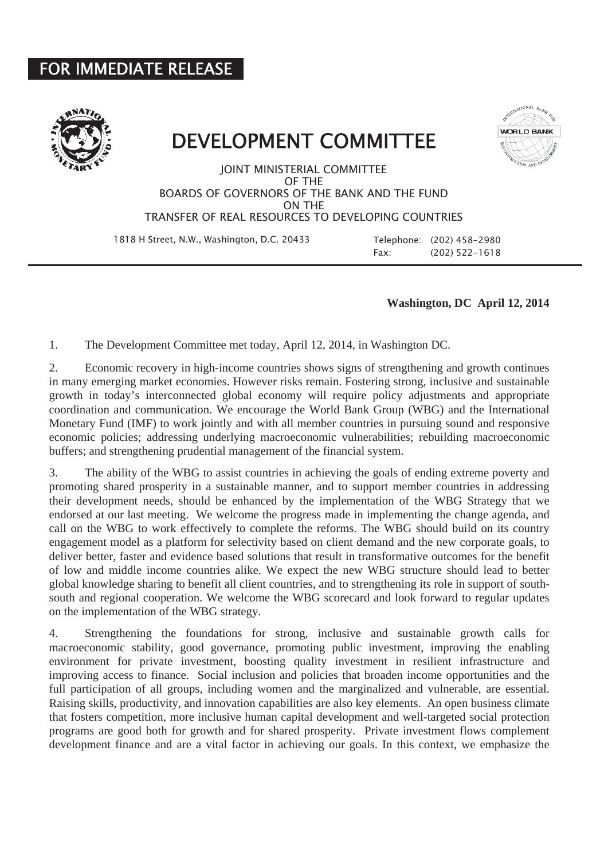## FOR IMMEDIATE RELEASE



## DEVELOPMENT COMMITTEE



JOINT MINISTERIAL COMMITTEE OF THE BOARDS OF GOVERNORS OF THE BANK AND THE FUND ON THE TRANSFER OF REAL RESOURCES TO DEVELOPING COUNTRIES

1818 H Street, N.W., Washington, D.C. 20433 Telephone: (202) 458-2980

Fax: (202) 522-1618

## **Washington, DC April 12, 2014**

1. The Development Committee met today, April 12, 2014, in Washington DC.

2. Economic recovery in high-income countries shows signs of strengthening and growth continues in many emerging market economies. However risks remain. Fostering strong, inclusive and sustainable growth in today's interconnected global economy will require policy adjustments and appropriate coordination and communication. We encourage the World Bank Group (WBG) and the International Monetary Fund (IMF) to work jointly and with all member countries in pursuing sound and responsive economic policies; addressing underlying macroeconomic vulnerabilities; rebuilding macroeconomic buffers; and strengthening prudential management of the financial system.

3. The ability of the WBG to assist countries in achieving the goals of ending extreme poverty and promoting shared prosperity in a sustainable manner, and to support member countries in addressing their development needs, should be enhanced by the implementation of the WBG Strategy that we endorsed at our last meeting. We welcome the progress made in implementing the change agenda, and call on the WBG to work effectively to complete the reforms. The WBG should build on its country engagement model as a platform for selectivity based on client demand and the new corporate goals, to deliver better, faster and evidence based solutions that result in transformative outcomes for the benefit of low and middle income countries alike. We expect the new WBG structure should lead to better global knowledge sharing to benefit all client countries, and to strengthening its role in support of southsouth and regional cooperation. We welcome the WBG scorecard and look forward to regular updates on the implementation of the WBG strategy.

4. Strengthening the foundations for strong, inclusive and sustainable growth calls for macroeconomic stability, good governance, promoting public investment, improving the enabling environment for private investment, boosting quality investment in resilient infrastructure and improving access to finance. Social inclusion and policies that broaden income opportunities and the full participation of all groups, including women and the marginalized and vulnerable, are essential. Raising skills, productivity, and innovation capabilities are also key elements. An open business climate that fosters competition, more inclusive human capital development and well-targeted social protection programs are good both for growth and for shared prosperity. Private investment flows complement development finance and are a vital factor in achieving our goals. In this context, we emphasize the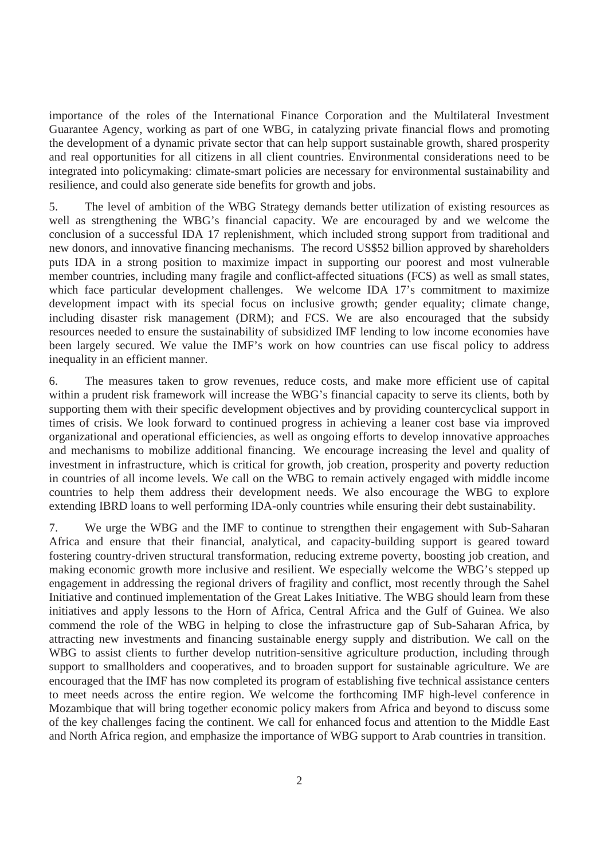importance of the roles of the International Finance Corporation and the Multilateral Investment Guarantee Agency, working as part of one WBG, in catalyzing private financial flows and promoting the development of a dynamic private sector that can help support sustainable growth, shared prosperity and real opportunities for all citizens in all client countries. Environmental considerations need to be integrated into policymaking: climate-smart policies are necessary for environmental sustainability and resilience, and could also generate side benefits for growth and jobs.

5. The level of ambition of the WBG Strategy demands better utilization of existing resources as well as strengthening the WBG's financial capacity. We are encouraged by and we welcome the conclusion of a successful IDA 17 replenishment, which included strong support from traditional and new donors, and innovative financing mechanisms. The record US\$52 billion approved by shareholders puts IDA in a strong position to maximize impact in supporting our poorest and most vulnerable member countries, including many fragile and conflict-affected situations (FCS) as well as small states, which face particular development challenges. We welcome IDA 17's commitment to maximize development impact with its special focus on inclusive growth; gender equality; climate change, including disaster risk management (DRM); and FCS. We are also encouraged that the subsidy resources needed to ensure the sustainability of subsidized IMF lending to low income economies have been largely secured. We value the IMF's work on how countries can use fiscal policy to address inequality in an efficient manner.

6. The measures taken to grow revenues, reduce costs, and make more efficient use of capital within a prudent risk framework will increase the WBG's financial capacity to serve its clients, both by supporting them with their specific development objectives and by providing countercyclical support in times of crisis. We look forward to continued progress in achieving a leaner cost base via improved organizational and operational efficiencies, as well as ongoing efforts to develop innovative approaches and mechanisms to mobilize additional financing. We encourage increasing the level and quality of investment in infrastructure, which is critical for growth, job creation, prosperity and poverty reduction in countries of all income levels. We call on the WBG to remain actively engaged with middle income countries to help them address their development needs. We also encourage the WBG to explore extending IBRD loans to well performing IDA-only countries while ensuring their debt sustainability.

7. We urge the WBG and the IMF to continue to strengthen their engagement with Sub-Saharan Africa and ensure that their financial, analytical, and capacity-building support is geared toward fostering country-driven structural transformation, reducing extreme poverty, boosting job creation, and making economic growth more inclusive and resilient. We especially welcome the WBG's stepped up engagement in addressing the regional drivers of fragility and conflict, most recently through the Sahel Initiative and continued implementation of the Great Lakes Initiative. The WBG should learn from these initiatives and apply lessons to the Horn of Africa, Central Africa and the Gulf of Guinea. We also commend the role of the WBG in helping to close the infrastructure gap of Sub-Saharan Africa, by attracting new investments and financing sustainable energy supply and distribution. We call on the WBG to assist clients to further develop nutrition-sensitive agriculture production, including through support to smallholders and cooperatives, and to broaden support for sustainable agriculture. We are encouraged that the IMF has now completed its program of establishing five technical assistance centers to meet needs across the entire region. We welcome the forthcoming IMF high-level conference in Mozambique that will bring together economic policy makers from Africa and beyond to discuss some of the key challenges facing the continent. We call for enhanced focus and attention to the Middle East and North Africa region, and emphasize the importance of WBG support to Arab countries in transition.